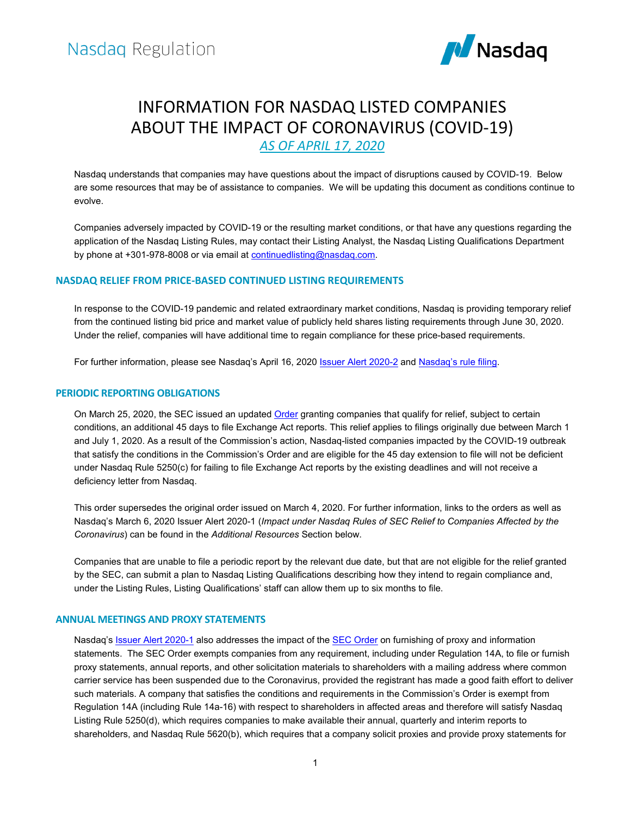

# INFORMATION FOR NASDAQ LISTED COMPANIES ABOUT THE IMPACT OF CORONAVIRUS (COVID-19) *AS OF APRIL 17, 2020*

Nasdaq understands that companies may have questions about the impact of disruptions caused by COVID-19. Below are some resources that may be of assistance to companies. We will be updating this document as conditions continue to evolve.

Companies adversely impacted by COVID-19 or the resulting market conditions, or that have any questions regarding the application of the Nasdaq Listing Rules, may contact their Listing Analyst, the Nasdaq Listing Qualifications Department by phone at +301-978-8008 or via email at **continuedlisting@nasdaq.com**.

# **NASDAQ RELIEF FROM PRICE-BASED CONTINUED LISTING REQUIREMENTS**

In response to the COVID-19 pandemic and related extraordinary market conditions, Nasdaq is providing temporary relief from the continued listing bid price and market value of publicly held shares listing requirements through June 30, 2020. Under the relief, companies will have additional time to regain compliance for these price-based requirements.

For further information, please see Nasdaq's April 16, 2020 **Issuer Alert 2020-2** and [Nasdaq's rule filing.](http://img.n.nasdaq.com/Web/GIS/%7B1b62f703-d510-4903-aab1-fd7993d5b2de%7D_SR-NASDAQ-2020-021.pdf)

## **PERIODIC REPORTING OBLIGATIONS**

On March 25, 2020, the SEC issued an updated [Order](https://www.sec.gov/rules/exorders/2020/34-88465.pdf) granting companies that qualify for relief, subject to certain conditions, an additional 45 days to file Exchange Act reports. This relief applies to filings originally due between March 1 and July 1, 2020. As a result of the Commission's action, Nasdaq-listed companies impacted by the COVID-19 outbreak that satisfy the conditions in the Commission's Order and are eligible for the 45 day extension to file will not be deficient under Nasdaq Rule 5250(c) for failing to file Exchange Act reports by the existing deadlines and will not receive a deficiency letter from Nasdaq.

This order supersedes the original order issued on March 4, 2020. For further information, links to the orders as well as Nasdaq's March 6, 2020 Issuer Alert 2020-1 (*Impact under Nasdaq Rules of SEC Relief to Companies Affected by the Coronavirus*) can be found in the *Additional Resources* Section below.

Companies that are unable to file a periodic report by the relevant due date, but that are not eligible for the relief granted by the SEC, can submit a plan to Nasdaq Listing Qualifications describing how they intend to regain compliance and, under the Listing Rules, Listing Qualifications' staff can allow them up to six months to file.

## **ANNUAL MEETINGS AND PROXY STATEMENTS**

Nasdaq's **Issuer Alert 2020-1** also addresses the impact of the **SEC Order** on furnishing of proxy and information statements. The SEC Order exempts companies from any requirement, including under Regulation 14A, to file or furnish proxy statements, annual reports, and other solicitation materials to shareholders with a mailing address where common carrier service has been suspended due to the Coronavirus, provided the registrant has made a good faith effort to deliver such materials. A company that satisfies the conditions and requirements in the Commission's Order is exempt from Regulation 14A (including Rule 14a-16) with respect to shareholders in affected areas and therefore will satisfy Nasdaq Listing Rule 5250(d), which requires companies to make available their annual, quarterly and interim reports to shareholders, and Nasdaq Rule 5620(b), which requires that a company solicit proxies and provide proxy statements for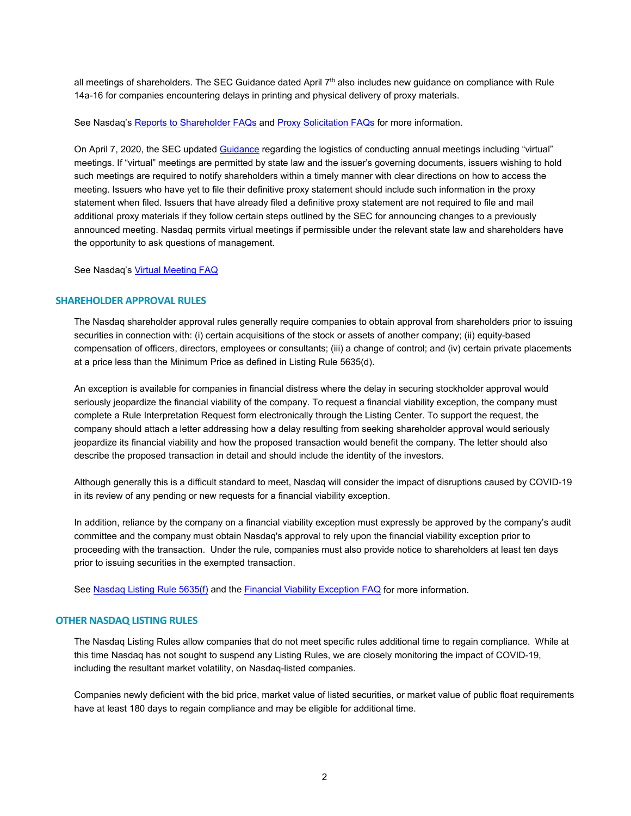all meetings of shareholders. The SEC Guidance dated April 7th also includes new guidance on compliance with Rule 14a-16 for companies encountering delays in printing and physical delivery of proxy materials.

See Nasdaq'[s Reports to Shareholder FAQs](https://listingcenter.nasdaq.com/Material_Search.aspx?mcd=LQ&cid=120,1,108,14,22,142,29,107,34,37,38,45,16,110,52,71,156,69&sub_cid=&years=2020,2019,2018,2020,2019,2018,2017,2016,2015,2014,2013,2012,2011,2010,2009,2008,2007,2006,2005,2004,2003,2002&criteria=5&materials=Posting+website) and [Proxy Solicitation FAQs](https://listingcenter.nasdaq.com/Material_Search.aspx?mcd=LQ&cid=1&sub_cid=&years=2020,2019,2018,2020,2019,2018,2017,2016,2015,2014,2013,2012,2011,2010,2009,2008,2007,2006,2005,2004,2003,2002&criteria=2&materials=80,81,168) for more information.

On April 7, 2020, the SEC updated [Guidance](https://www.sec.gov/ocr/staff-guidance-conducting-annual-meetings-light-covid-19-concerns?auHash=zrsDVFen7QmUL6Xou7EIHYov4Y6IfrRTjW3KPSVukQs) regarding the logistics of conducting annual meetings including "virtual" meetings. If "virtual" meetings are permitted by state law and the issuer's governing documents, issuers wishing to hold such meetings are required to notify shareholders within a timely manner with clear directions on how to access the meeting. Issuers who have yet to file their definitive proxy statement should include such information in the proxy statement when filed. Issuers that have already filed a definitive proxy statement are not required to file and mail additional proxy materials if they follow certain steps outlined by the SEC for announcing changes to a previously announced meeting. Nasdaq permits virtual meetings if permissible under the relevant state law and shareholders have the opportunity to ask questions of management.

See Nasdaq'[s Virtual Meeting FAQ](https://listingcenter.nasdaq.com/Material_Search.aspx?materials=84&mcd=LQ&criteria=2&cid=1)

## **SHAREHOLDER APPROVAL RULES**

The Nasdaq shareholder approval rules generally require companies to obtain approval from shareholders prior to issuing securities in connection with: (i) certain acquisitions of the stock or assets of another company; (ii) equity-based compensation of officers, directors, employees or consultants; (iii) a change of control; and (iv) certain private placements at a price less than the Minimum Price as defined in Listing Rule 5635(d).

An exception is available for companies in financial distress where the delay in securing stockholder approval would seriously jeopardize the financial viability of the company. To request a financial viability exception, the company must complete a Rule Interpretation Request form electronically through the Listing Center. To support the request, the company should attach a letter addressing how a delay resulting from seeking shareholder approval would seriously jeopardize its financial viability and how the proposed transaction would benefit the company. The letter should also describe the proposed transaction in detail and should include the identity of the investors.

Although generally this is a difficult standard to meet, Nasdaq will consider the impact of disruptions caused by COVID-19 in its review of any pending or new requests for a financial viability exception.

In addition, reliance by the company on a financial viability exception must expressly be approved by the company's audit committee and the company must obtain Nasdaq's approval to rely upon the financial viability exception prior to proceeding with the transaction. Under the rule, companies must also provide notice to shareholders at least ten days prior to issuing securities in the exempted transaction.

Se[e Nasdaq Listing Rule 5635\(f\)](http://nasdaq.cchwallstreet.com/NASDAQTools/PlatformViewer.asp?searched=1&selectednode=chp%5F1%5F1%5F3%5F3%5F7%5F8&CiRestriction=bid+AND+price&manual=%2Fnasdaq%2FMain%2Fnasdaq%2Dequityrules%2F) and the [Financial Viability Exception FAQ](https://listingcenter.nasdaq.com/Material_Search.aspx?materials=84&mcd=LQ&criteria=2&cid=120,1,108,14,22,142,29,107,34,37,38,45,16,110,52,71,156,69) for more information.

## **OTHER NASDAQ LISTING RULES**

The Nasdaq Listing Rules allow companies that do not meet specific rules additional time to regain compliance. While at this time Nasdaq has not sought to suspend any Listing Rules, we are closely monitoring the impact of COVID-19, including the resultant market volatility, on Nasdaq-listed companies.

Companies newly deficient with the bid price, market value of listed securities, or market value of public float requirements have at least 180 days to regain compliance and may be eligible for additional time.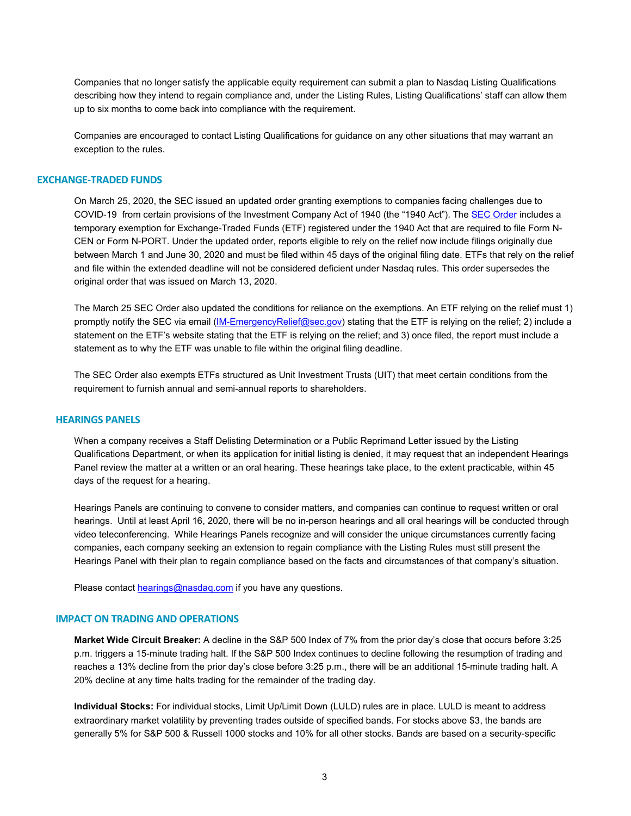Companies that no longer satisfy the applicable equity requirement can submit a plan to Nasdaq Listing Qualifications describing how they intend to regain compliance and, under the Listing Rules, Listing Qualifications' staff can allow them up to six months to come back into compliance with the requirement.

Companies are encouraged to contact Listing Qualifications for guidance on any other situations that may warrant an exception to the rules.

#### **EXCHANGE-TRADED FUNDS**

On March 25, 2020, the SEC issued an updated order granting exemptions to companies facing challenges due to COVID-19 from certain provisions of the Investment Company Act of 1940 (the "1940 Act"). Th[e SEC Order](https://www.sec.gov/rules/other/2020/ic-33824.pdf) includes a temporary exemption for Exchange-Traded Funds (ETF) registered under the 1940 Act that are required to file Form N-CEN or Form N-PORT. Under the updated order, reports eligible to rely on the relief now include filings originally due between March 1 and June 30, 2020 and must be filed within 45 days of the original filing date. ETFs that rely on the relief and file within the extended deadline will not be considered deficient under Nasdaq rules. This order supersedes the original order that was issued on March 13, 2020.

The March 25 SEC Order also updated the conditions for reliance on the exemptions. An ETF relying on the relief must 1) promptly notify the SEC via email [\(IM-EmergencyRelief@sec.gov\)](mailto:IM-EmergencyRelief@sec.gov) stating that the ETF is relying on the relief; 2) include a statement on the ETF's website stating that the ETF is relying on the relief; and 3) once filed, the report must include a statement as to why the ETF was unable to file within the original filing deadline.

The SEC Order also exempts ETFs structured as Unit Investment Trusts (UIT) that meet certain conditions from the requirement to furnish annual and semi-annual reports to shareholders.

## **HEARINGS PANELS**

When a company receives a Staff Delisting Determination or a Public Reprimand Letter issued by the Listing Qualifications Department, or when its application for initial listing is denied, it may request that an independent Hearings Panel review the matter at a written or an oral hearing. These hearings take place, to the extent practicable, within 45 days of the request for a hearing.

Hearings Panels are continuing to convene to consider matters, and companies can continue to request written or oral hearings. Until at least April 16, 2020, there will be no in-person hearings and all oral hearings will be conducted through video teleconferencing. While Hearings Panels recognize and will consider the unique circumstances currently facing companies, each company seeking an extension to regain compliance with the Listing Rules must still present the Hearings Panel with their plan to regain compliance based on the facts and circumstances of that company's situation.

Please contac[t hearings@nasdaq.com](mailto:hearings@nasdaq.com) if you have any questions.

## **IMPACT ON TRADING AND OPERATIONS**

**Market Wide Circuit Breaker:** A decline in the S&P 500 Index of 7% from the prior day's close that occurs before 3:25 p.m. triggers a 15-minute trading halt. If the S&P 500 Index continues to decline following the resumption of trading and reaches a 13% decline from the prior day's close before 3:25 p.m., there will be an additional 15-minute trading halt. A 20% decline at any time halts trading for the remainder of the trading day.

**Individual Stocks:** For individual stocks, Limit Up/Limit Down (LULD) rules are in place. LULD is meant to address extraordinary market volatility by preventing trades outside of specified bands. For stocks above \$3, the bands are generally 5% for S&P 500 & Russell 1000 stocks and 10% for all other stocks. Bands are based on a security-specific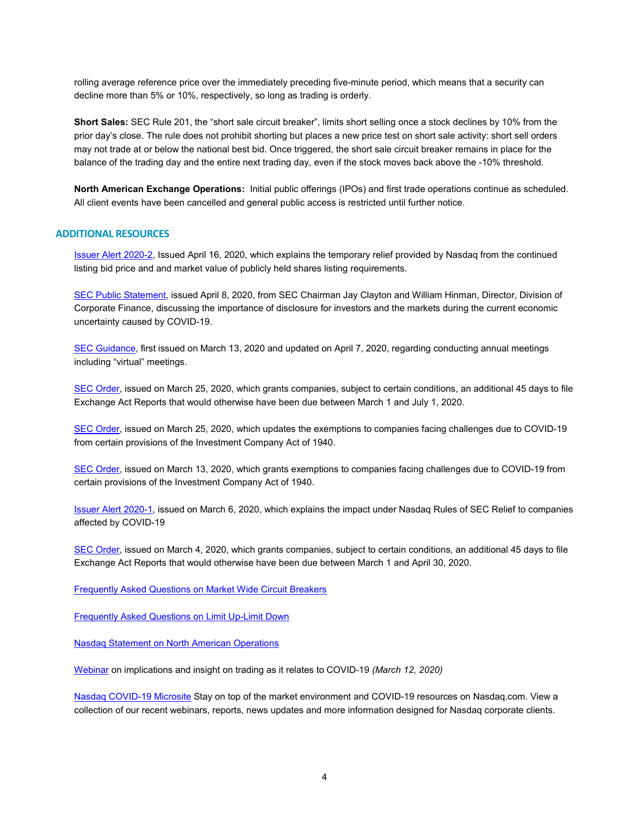rolling average reference price over the immediately preceding five-minute period, which means that a security can decline more than 5% or 10%, respectively, so long as trading is orderly.

**Short Sales:** SEC Rule 201, the "short sale circuit breaker", limits short selling once a stock declines by 10% from the prior day's close. The rule does not prohibit shorting but places a new price test on short sale activity: short sell orders may not trade at or below the national best bid. Once triggered, the short sale circuit breaker remains in place for the balance of the trading day and the entire next trading day, even if the stock moves back above the -10% threshold.

**North American Exchange Operations:** Initial public offerings (IPOs) and first trade operations continue as scheduled. All client events have been cancelled and general public access is restricted until further notice.

## **ADDITIONAL RESOURCES**

[Issuer Alert 2020-2,](http://nasdaq.cchwallstreet.com/nasdaq/pdf/nasdaq-issalerts/2020/2020-002.pdf) Issued April 16, 2020, which explains the temporary relief provided by Nasdaq from the continued listing bid price and and market value of publicly held shares listing requirements.

[SEC Public Statement,](https://www.sec.gov/news/public-statement/statement-clayton-hinman) issued April 8, 2020, from SEC Chairman Jay Clayton and William Hinman, Director, Division of Corporate Finance, discussing the importance of disclosure for investors and the markets during the current economic uncertainty caused by COVID-19.

[SEC Guidance,](https://www.sec.gov/ocr/staff-guidance-conducting-annual-meetings-light-covid-19-concerns?auHash=zrsDVFen7QmUL6Xou7EIHYov4Y6IfrRTjW3KPSVukQs) first issued on March 13, 2020 and updated on April 7, 2020, regarding conducting annual meetings including "virtual" meetings.

[SEC Order,](https://www.sec.gov/rules/exorders/2020/34-88465.pdf) issued on March 25, 2020, which grants companies, subject to certain conditions, an additional 45 days to file Exchange Act Reports that would otherwise have been due between March 1 and July 1, 2020.

[SEC Order,](https://www.sec.gov/rules/other/2020/ic-33824.pdf) issued on March 25, 2020, which updates the exemptions to companies facing challenges due to COVID-19 from certain provisions of the Investment Company Act of 1940.

[SEC Order,](https://www.sec.gov/rules/other/2020/ic-33817.pdf) issued on March 13, 2020, which grants exemptions to companies facing challenges due to COVID-19 from certain provisions of the Investment Company Act of 1940.

[Issuer Alert 2020-1,](http://nasdaq.cchwallstreet.com/nasdaq/pdf/nasdaq-issalerts/2020/2020-001.pdf) issued on March 6, 2020, which explains the impact under Nasdaq Rules of SEC Relief to companies affected by COVID-19

[SEC Order,](https://www.sec.gov/rules/other/2020/34-88318.pdf?elqTrackId=ce5cf05a02a14eac966e52354af58e11&elq=d6d99cf0e0d84f8193500156cdbad670&elqaid=7872&elqat=1&elqCampaignId=) issued on March 4, 2020, which grants companies, subject to certain conditions, an additional 45 days to file Exchange Act Reports that would otherwise have been due between March 1 and April 30, 2020.

[Frequently Asked Questions on Market Wide Circuit Breakers](https://www.nasdaqtrader.com/content/marketregulation/mwcb_faq.pdf)

[Frequently Asked Questions on Limit Up-Limit Down](https://www.nasdaqtrader.com/content/MarketRegulation/LULD_FAQ.pdf)

[Nasdaq Statement on North American Operations](https://www.globenewswire.com/news-release/2020/03/15/2000691/0/en/Nasdaq-Statement-on-North-American-Operations.html)

[Webinar](https://edge.media-server.com/mmc/p/mnbjtbrr) on implications and insight on trading as it relates to COVID-19 *(March 12, 2020)*

[Nasdaq COVID-19 Microsite](https://www.nasdaq.com/solutions/corporate-services/COVID19) Stay on top of the market environment and COVID-19 resources on Nasdaq.com. View a collection of our recent webinars, reports, news updates and more information designed for Nasdaq corporate clients.